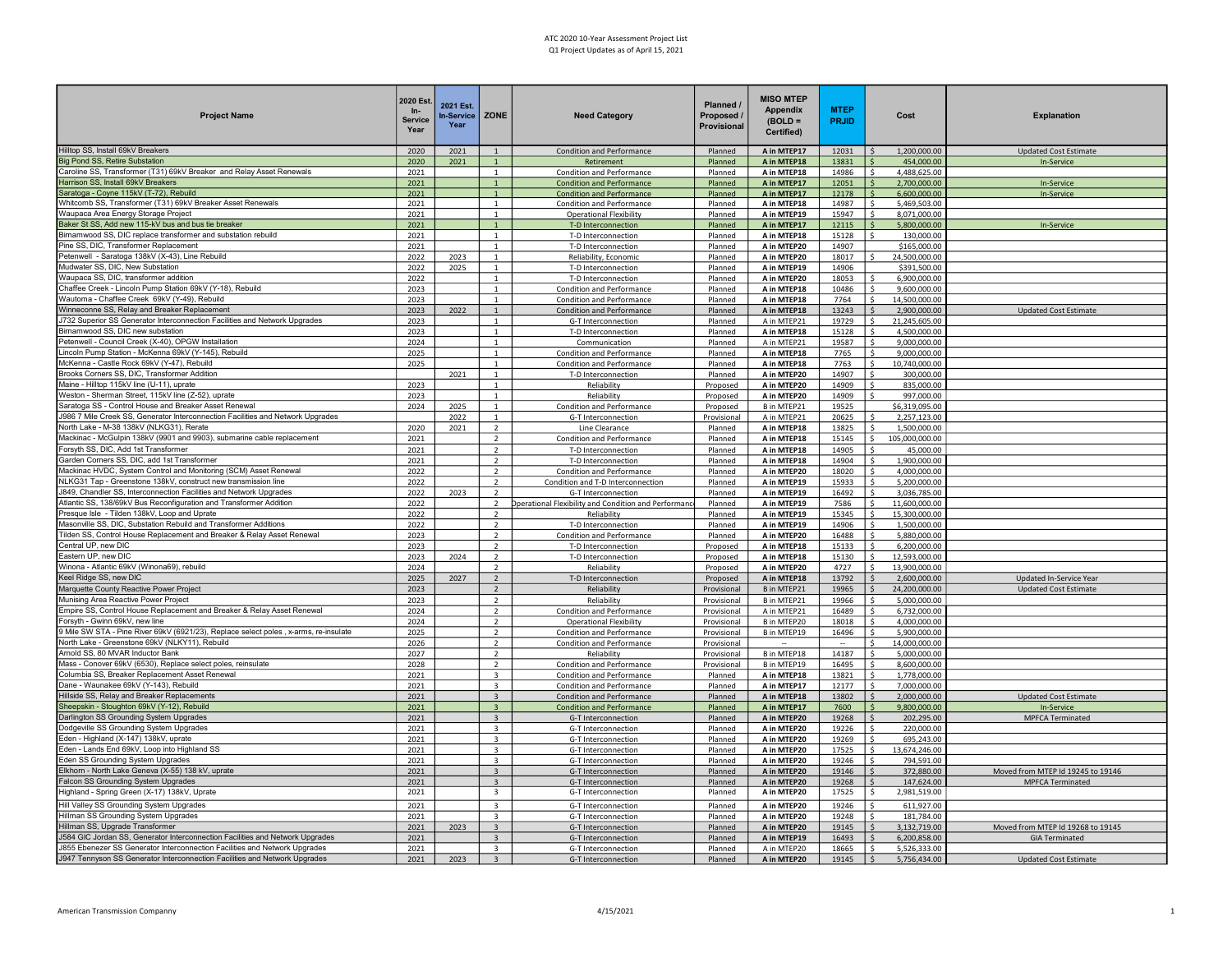| <b>Project Name</b>                                                                                                                        | 2020 Est.<br>$ln-$<br><b>Service</b><br>Year | 2021 Est.<br><b>In-Service</b><br>Year | ZONE                                               | <b>Need Category</b>                                          | Planned /<br>Proposed /<br>Provisional | <b>MISO MTEP</b><br><b>Appendix</b><br>$(BOLD =$<br>Certified) | <b>MTEP</b><br><b>PRJID</b> | Cost                                      | <b>Explanation</b>                                         |
|--------------------------------------------------------------------------------------------------------------------------------------------|----------------------------------------------|----------------------------------------|----------------------------------------------------|---------------------------------------------------------------|----------------------------------------|----------------------------------------------------------------|-----------------------------|-------------------------------------------|------------------------------------------------------------|
| Hilltop SS, Install 69kV Breakers                                                                                                          | 2020                                         | 2021                                   | $\mathbf{1}$                                       | Condition and Performance                                     | Planned                                | A in MTEP17                                                    | 12031                       | 1,200,000.00                              | <b>Updated Cost Estimate</b>                               |
| Big Pond SS, Retire Substation<br>Caroline SS, Transformer (T31) 69kV Breaker and Relay Asset Renewals                                     | 2020                                         | 2021                                   | $\mathbf{1}$                                       | Retiremen                                                     | Planned                                | A in MTEP18                                                    | 13831                       | 454,000.00                                | <b>In-Service</b>                                          |
| Harrison SS, Install 69kV Breakers                                                                                                         | 2021<br>2021                                 |                                        |                                                    | Condition and Performance<br><b>Condition and Performance</b> | Planned<br>Planned                     | A in MTEP18<br>A in MTEP17                                     | 14986<br>12051              | 4,488,625.00<br>2,700,000.00              | <b>In-Service</b>                                          |
| Saratoga - Coyne 115kV (T-72), Rebuild                                                                                                     | 2021                                         |                                        |                                                    | <b>Condition and Performance</b>                              | Planned                                | A in MTEP17                                                    | 12178                       | 6.600.000.00                              | <b>In-Service</b>                                          |
| Whitcomb SS, Transformer (T31) 69kV Breaker Asset Renewals                                                                                 | 2021                                         |                                        | $\overline{1}$                                     | Condition and Performance                                     | Planned                                | A in MTEP18                                                    | 14987                       | 5,469,503.00                              |                                                            |
| Waupaca Area Energy Storage Project                                                                                                        | 2021                                         |                                        | $\overline{1}$                                     | <b>Operational Flexibility</b>                                | Planned                                | A in MTEP19                                                    | 15947                       | 8,071,000.00                              |                                                            |
| Baker St SS, Add new 115-kV bus and bus tie breaker                                                                                        | 2021                                         |                                        | $\mathbf{1}$                                       | T-D Interconnection                                           | Planned                                | A in MTEP17                                                    | 12115                       | 5,800,000.00                              | <b>In-Service</b>                                          |
| Birnamwood SS, DIC replace transformer and substation rebuild<br>Pine SS, DIC, Transformer Replacement                                     | 2021                                         |                                        | $\mathbf{1}$                                       | T-D Interconnection                                           | Planned                                | A in MTEP18                                                    | 15128                       | 130,000.00                                |                                                            |
| Petenwell - Saratoga 138kV (X-43), Line Rebuild                                                                                            | 2021<br>2022                                 | 2023                                   | 1<br>1                                             | T-D Interconnection<br>Reliability, Economic                  | Planned<br>Planned                     | A in MTEP20<br>A in MTEP20                                     | 14907<br>18017              | \$165,000.00<br>24,500,000.00             |                                                            |
| Mudwater SS, DIC, New Substation                                                                                                           | 2022                                         | 2025                                   | 1                                                  | T-D Interconnection                                           | Planned                                | A in MTEP19                                                    | 14906                       | \$391,500.00                              |                                                            |
| Waupaca SS, DIC, transformer addition                                                                                                      | 2022                                         |                                        | 1                                                  | T-D Interconnection                                           | Planned                                | A in MTEP20                                                    | 18053                       | 6,900,000.00<br>\$                        |                                                            |
| Chaffee Creek - Lincoln Pump Station 69kV (Y-18), Rebuild                                                                                  | 2023                                         |                                        | $\mathbf{1}$                                       | Condition and Performance                                     | Planned                                | A in MTEP18                                                    | 10486                       | 9,600,000.00<br>Ś.                        |                                                            |
| Wautoma - Chaffee Creek 69kV (Y-49), Rebuild                                                                                               | 2023                                         |                                        | $\mathbf{1}$                                       | Condition and Performance                                     | Planned                                | A in MTEP18                                                    | 7764                        | 14,500,000.00<br>Ś.                       |                                                            |
| Winneconne SS, Relay and Breaker Replacement                                                                                               | 2023                                         | 2022                                   | $\mathbf{1}$                                       | Condition and Performance                                     | Planned                                | A in MTEP18                                                    | 13243                       | 2,900,000.00<br>Ś.                        | <b>Updated Cost Estimate</b>                               |
| J732 Superior SS Generator Interconnection Facilities and Network Upgrades<br>Birnamwood SS, DIC new substation                            | 2023                                         |                                        | 1                                                  | G-T Interconnection                                           | Planned                                | A in MTEP21                                                    | 19729                       | 21,245,605.00<br>Ś.                       |                                                            |
| Petenwell - Council Creek (X-40), OPGW Installation                                                                                        | 2023<br>2024                                 |                                        | 1                                                  | T-D Interconnection<br>Communication                          | Planned<br>Planned                     | A in MTEP18<br>A in MTEP21                                     | 15128<br>19587              | 4,500,000.00<br>Ś.<br>9,000,000.00        |                                                            |
| incoln Pump Station - McKenna 69kV (Y-145), Rebuild                                                                                        | 2025                                         |                                        | $\overline{1}$                                     | Condition and Performance                                     | Planned                                | A in MTEP18                                                    | 7765                        | Ś.<br>9,000,000.00                        |                                                            |
| McKenna - Castle Rock 69kV (Y-47), Rebuild                                                                                                 | 2025                                         |                                        | $\overline{1}$                                     | Condition and Performance                                     | Planned                                | A in MTEP18                                                    | 7763                        | Ś.<br>10,740,000.00                       |                                                            |
| Brooks Corners SS, DIC, Transformer Addition                                                                                               |                                              | 2021                                   | $\mathbf{1}$                                       | T-D Interconnection                                           | Planned                                | A in MTEP20                                                    | 14907                       | ¢<br>300,000.00                           |                                                            |
| Maine - Hilltop 115kV line (U-11), uprate                                                                                                  | 2023                                         |                                        | $\overline{1}$                                     | Reliability                                                   | Proposed                               | A in MTEP20                                                    | 14909                       | 835,000.00                                |                                                            |
| Weston - Sherman Street, 115kV line (Z-52), uprate                                                                                         | 2023                                         |                                        | $\overline{1}$                                     | Reliability                                                   | Proposed                               | A in MTEP20                                                    | 14909                       | 997,000.00<br>ς                           |                                                            |
| Saratoga SS - Control House and Breaker Asset Renewal                                                                                      | 2024                                         | 2025                                   | $\overline{1}$                                     | Condition and Performance                                     | Proposed                               | B in MTEP21                                                    | 19525                       | \$6,319,095.00                            |                                                            |
| J986 7 Mile Creek SS, Generator Interconnection Facilities and Network Upgrades                                                            |                                              | 2022                                   | $\overline{1}$                                     | G-T Interconnection                                           | Provisional                            | A in MTEP21                                                    | 20625                       | 2,257,123.00                              |                                                            |
| North Lake - M-38 138kV (NLKG31), Rerate<br>Mackinac - McGulpin 138kV (9901 and 9903), submarine cable replacement                         | 2020<br>2021                                 | 2021                                   | $\overline{2}$<br>$\overline{2}$                   | Line Clearance<br>Condition and Performance                   | Planned<br>Planned                     | A in MTEP18<br>A in MTEP18                                     | 13825<br>15145              | Ś<br>1,500,000.00<br>105,000,000.00<br>Ś. |                                                            |
| Forsyth SS, DIC, Add 1st Transformer                                                                                                       | 2021                                         |                                        | $\overline{2}$                                     | T-D Interconnection                                           | Planned                                | A in MTEP18                                                    | 14905                       | 45,000.00<br>Ś                            |                                                            |
| Garden Corners SS, DIC, add 1st Transformer                                                                                                | 2021                                         |                                        | $\overline{2}$                                     | T-D Interconnection                                           | Planned                                | A in MTEP18                                                    | 14904                       | 1,900,000.00<br>\$.                       |                                                            |
| Mackinac HVDC, System Control and Monitoring (SCM) Asset Renewal                                                                           | 2022                                         |                                        | $\overline{2}$                                     | Condition and Performance                                     | Planned                                | A in MTEP20                                                    | 18020                       | \$.<br>4,000,000.00                       |                                                            |
| NLKG31 Tap - Greenstone 138kV, construct new transmission line                                                                             | 2022                                         |                                        | $\overline{2}$                                     | Condition and T-D Interconnection                             | Planned                                | A in MTEP19                                                    | 15933                       | \$<br>5,200,000.00                        |                                                            |
| J849, Chandler SS, Interconnection Facilities and Network Upgrades                                                                         | 2022                                         | 2023                                   | $\overline{2}$                                     | G-T Interconnection                                           | Planned                                | A in MTEP19                                                    | 16492                       | 3,036,785.00                              |                                                            |
| Atlantic SS, 138/69kV Bus Reconfiguration and Transformer Addition                                                                         | 2022                                         |                                        | $\overline{2}$                                     | Operational Flexibility and Condition and Performanc          | Planned                                | A in MTEP19                                                    | 7586                        | Ś.<br>11,600,000.00                       |                                                            |
| Presque Isle - Tilden 138kV, Loop and Uprate                                                                                               | 2022                                         |                                        | $\overline{z}$                                     | Reliability                                                   | Planned                                | A in MTEP19                                                    | 15345                       | Ś.<br>15,300,000.00                       |                                                            |
| Masonville SS, DIC, Substation Rebuild and Transformer Additions<br>Filden SS, Control House Replacement and Breaker & Relay Asset Renewal | 2022<br>2023                                 |                                        | $\overline{z}$<br>$\overline{2}$                   | T-D Interconnection<br>Condition and Performance              | Planned<br>Planned                     | A in MTEP19<br>A in MTEP20                                     | 14906<br>16488              | Š.<br>1,500,000.00<br>ς.<br>5.880.000.00  |                                                            |
| Central UP, new DIC                                                                                                                        | 2023                                         |                                        | $\overline{z}$                                     | T-D Interconnection                                           | Proposed                               | A in MTEP18                                                    | 15133                       | 6,200,000.00<br>Ś.                        |                                                            |
| Eastern UP, new DIC                                                                                                                        | 2023                                         | 2024                                   | $\overline{2}$                                     | T-D Interconnection                                           | Proposed                               | A in MTEP18                                                    | 15130                       | 12,593,000.00<br>ς.                       |                                                            |
| Winona - Atlantic 69kV (Winona69), rebuild                                                                                                 | 2024                                         |                                        | $\overline{2}$                                     | Reliability                                                   | Proposed                               | A in MTEP20                                                    | 4727                        | 13,900,000.00<br>Ś.                       |                                                            |
| Geel Ridge SS, new DIC                                                                                                                     | 2025                                         | 2027                                   | $\overline{2}$                                     | T-D Interconnection                                           | Proposed                               | A in MTEP18                                                    | 13792                       | 2,600,000.00<br>Ś                         | Updated In-Service Year                                    |
| Marquette County Reactive Power Project                                                                                                    | 2023                                         |                                        | $\overline{2}$                                     | Reliability                                                   | Provisional                            | B in MTEP21                                                    | 19965                       | 24,200,000.00<br>Ś.                       | <b>Updated Cost Estimate</b>                               |
| Munising Area Reactive Power Project                                                                                                       | 2023                                         |                                        | $\overline{2}$                                     | Reliability                                                   | Provisional                            | B in MTEP21                                                    | 19966                       | Ś.<br>5,000,000.00                        |                                                            |
| Empire SS, Control House Replacement and Breaker & Relay Asset Renewal                                                                     | 2024                                         |                                        | $\overline{2}$                                     | Condition and Performance                                     | Provisional                            | A in MTEP21                                                    | 16489                       | 6,732,000.00                              |                                                            |
| Forsyth - Gwinn 69kV, new line<br>Mile SW STA - Pine River 69kV (6921/23), Replace select poles, x-arms, re-insulate                       | 2024                                         |                                        | $\overline{2}$                                     | <b>Operational Flexibility</b>                                | Provisional                            | B in MTEP20                                                    | 18018                       | 4,000,000.00                              |                                                            |
| North Lake - Greenstone 69kV (NLKY11), Rebuild                                                                                             | 2025<br>2026                                 |                                        | $\overline{2}$<br>$\overline{2}$                   | Condition and Performance<br>Condition and Performance        | Provisional<br>Provisional             | B in MTEP19<br>$\sim$                                          | 16496                       | 5,900,000.00<br>\$.<br>14,000,000.00      |                                                            |
| Arnold SS, 80 MVAR Inductor Bank                                                                                                           | 2027                                         |                                        | $\overline{2}$                                     | Reliability                                                   | Provisional                            | B in MTEP18                                                    | 14187                       | 5,000,000.00<br>Ś.                        |                                                            |
| Mass - Conover 69kV (6530), Replace select poles, reinsulate                                                                               | 2028                                         |                                        | $\overline{2}$                                     | Condition and Performance                                     | Provisional                            | B in MTEP19                                                    | 16495                       | 8,600,000.00<br>Ś.                        |                                                            |
| Columbia SS, Breaker Replacement Asset Renewal                                                                                             | 2021                                         |                                        | $\overline{\mathbf{3}}$                            | Condition and Performance                                     | Planned                                | A in MTEP18                                                    | 13821                       | 1,778,000.00                              |                                                            |
| Dane - Waunakee 69kV (Y-143), Rebuild                                                                                                      | 2021                                         |                                        | $\overline{\mathbf{3}}$                            | Condition and Performance                                     | Planned                                | A in MTEP17                                                    | 12177                       | 7,000,000.00<br>Ś.                        |                                                            |
| Hillside SS, Relay and Breaker Replacements                                                                                                | 2021                                         |                                        | $\overline{3}$                                     | <b>Condition and Performance</b>                              | Planned                                | A in MTEP18                                                    | 13802                       | 2,000,000.00                              | <b>Updated Cost Estimate</b>                               |
| Sheepskin - Stoughton 69kV (Y-12), Rebuild<br>Darlington SS Grounding System Upgrades                                                      | 2021                                         |                                        | $\overline{3}$                                     | <b>Condition and Performance</b>                              | Planned                                | A in MTEP17                                                    | 7600                        | 9,800,000.00<br>Ś                         | In-Service                                                 |
| Dodgeville SS Grounding System Upgrades                                                                                                    | 2021<br>2021                                 |                                        | $\overline{\mathbf{3}}$<br>$\overline{\mathbf{3}}$ | G-T Interconnection<br>G-T Interconnection                    | Planned<br>Planned                     | A in MTEP20<br>A in MTEP20                                     | 19268<br>19226              | 202,295.00<br>220,000.00<br>ς             | <b>MPFCA Terminated</b>                                    |
| Eden - Highland (X-147) 138kV, uprate                                                                                                      | 2021                                         |                                        | $\overline{\mathbf{a}}$                            | G-T Interconnection                                           | Planned                                | A in MTEP20                                                    | 19269                       | 695,243.00                                |                                                            |
| Eden - Lands End 69kV, Loop into Highland SS                                                                                               | 2021                                         |                                        | $\overline{3}$                                     | G-T Interconnection                                           | Planned                                | A in MTEP20                                                    | 17525                       | 13,674,246.00<br>Ś                        |                                                            |
| Eden SS Grounding System Upgrades                                                                                                          | 2021                                         |                                        | $\overline{\mathbf{3}}$                            | G-T Interconnection                                           | Planned                                | A in MTEP20                                                    | 19246                       | 794,591.00<br>ς                           |                                                            |
| Elkhorn - North Lake Geneva (X-55) 138 kV, uprate                                                                                          | 2021                                         |                                        | $\overline{\mathbf{3}}$                            | G-T Interconnection                                           | Planned                                | A in MTEP20                                                    | 19146                       | 372,880.00<br>Ś                           | Moved from MTEP Id 19245 to 19146                          |
| alcon SS Grounding System Upgrades                                                                                                         | 2021                                         |                                        | $\overline{3}$                                     | G-T Interconnection                                           | Planned                                | A in MTEP20                                                    | 19268                       | 147,624.00<br>Ś                           | MPFCA Terminated                                           |
| Highland - Spring Green (X-17) 138kV, Uprate                                                                                               | 2021                                         |                                        | $\overline{\mathbf{3}}$                            | G-T Interconnection                                           | Planned                                | A in MTEP20                                                    | 17525                       | 2,981,519.00<br>Ś.                        |                                                            |
| Hill Valley SS Grounding System Upgrades                                                                                                   | 2021                                         |                                        | $\overline{\mathbf{z}}$                            | G-T Interconnection                                           | Planned                                | A in MTEP20                                                    | 19246                       | 611,927.00                                |                                                            |
| Hillman SS Grounding System Upgrades                                                                                                       | 2021                                         |                                        | $\overline{3}$<br>$\overline{3}$                   | G-T Interconnection                                           | Planned                                | A in MTEP20                                                    | 19248                       | 181,784.00                                |                                                            |
| Hillman SS, Upgrade Transformer<br>J584 GIC Jordan SS, Generator Interconnection Facilities and Network Upgrades                           | 2021<br>2021                                 | 2023                                   | $\overline{3}$                                     | G-T Interconnection<br>G-T Interconnection                    | Planned<br>Planned                     | A in MTEP20<br>A in MTEP19                                     | 19145<br>16493              | 3,132,719.00<br>6,200,858.00              | Moved from MTEP Id 19268 to 19145<br><b>GIA Terminated</b> |
| J855 Ebenezer SS Generator Interconnection Facilities and Network Upgrades                                                                 | 2021                                         |                                        | $\overline{3}$                                     | G-T Interconnection                                           | Planned                                | A in MTEP20                                                    | 18665                       | ¢<br>5,526,333.00                         |                                                            |
| J947 Tennyson SS Generator Interconnection Facilities and Network Upgrades                                                                 | 2021                                         | 2023                                   |                                                    | G-T Interconnection                                           | Planned                                | A in MTEP20                                                    | 19145                       | 5,756,434.00<br>Ś                         | <b>Updated Cost Estimate</b>                               |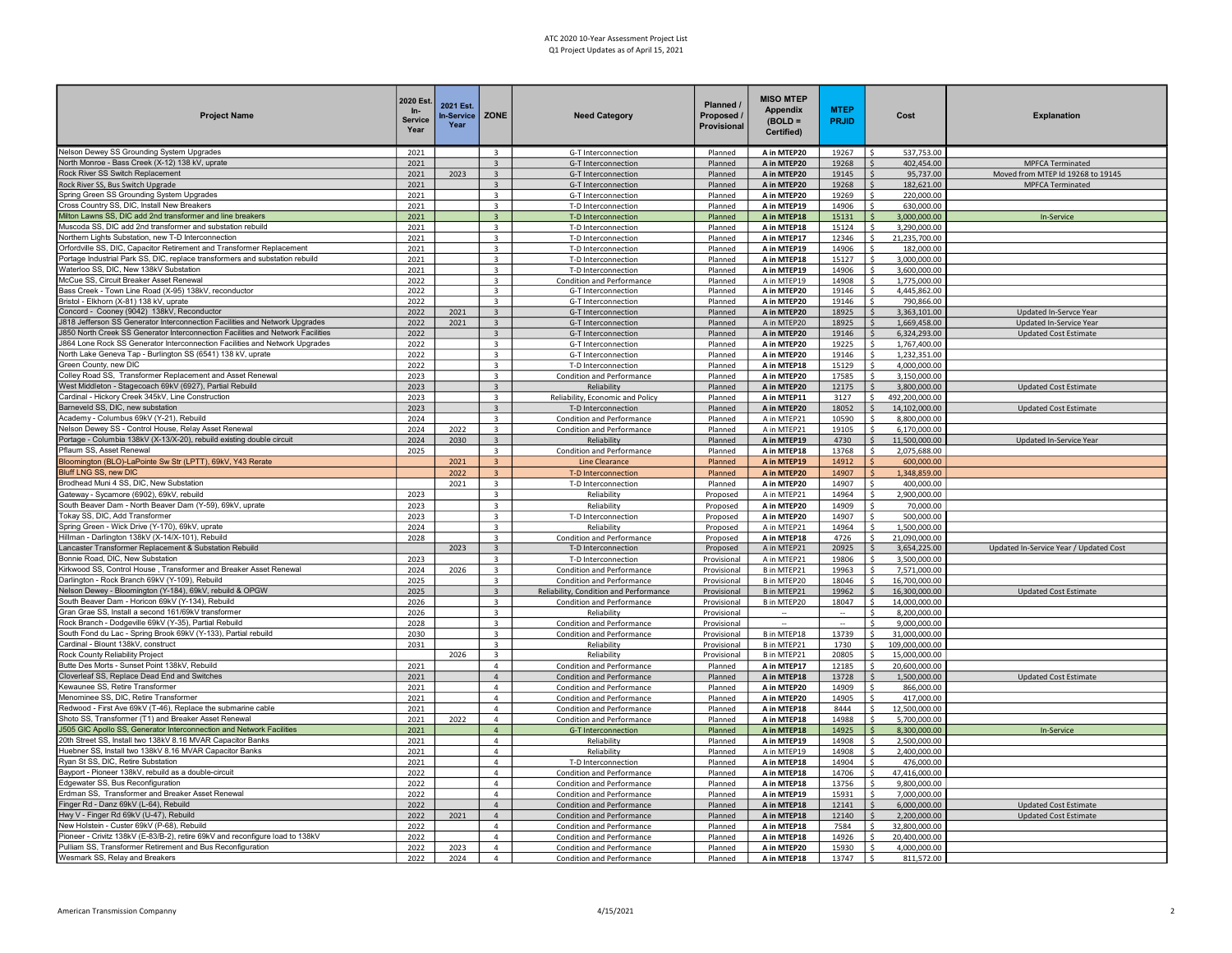| <b>Project Name</b>                                                                                                          | 2020 Est.<br>$In-$<br><b>Service</b><br>Year | 2021 Est<br><b>In-Service</b><br>Year | ZONE                                               | <b>Need Category</b>                                                       | Planned /<br>Proposed<br>Provisional | <b>MISO MTEP</b><br>Appendix<br>$(BOLD =$<br>Certified) | <b>MTEP</b><br><b>PRJID</b> | Cost                                       | <b>Explanation</b>                     |
|------------------------------------------------------------------------------------------------------------------------------|----------------------------------------------|---------------------------------------|----------------------------------------------------|----------------------------------------------------------------------------|--------------------------------------|---------------------------------------------------------|-----------------------------|--------------------------------------------|----------------------------------------|
| Nelson Dewey SS Grounding System Upgrades                                                                                    | 2021                                         |                                       | $\overline{3}$                                     | G-T Interconnection                                                        | Planned                              | A in MTEP20                                             | 19267                       | 537,753.00                                 |                                        |
| North Monroe - Bass Creek (X-12) 138 kV, uprate                                                                              | 2021                                         |                                       | $\overline{3}$                                     | G-T Interconnection                                                        | Planned                              | A in MTEP20                                             | 19268                       | Ś<br>402,454.00                            | <b>MPFCA Terminated</b>                |
| Rock River SS Switch Replacement                                                                                             | 2021                                         | 2023                                  | $\overline{3}$                                     | G-T Interconnection                                                        | Planned                              | A in MTEP20                                             | 19145                       | 95,737.00<br>\$.                           | Moved from MTEP Id 19268 to 19145      |
| Rock River SS, Bus Switch Upgrade<br>Spring Green SS Grounding System Upgrades                                               | 2021                                         |                                       | 3                                                  | G-T Interconnection                                                        | Planned<br>Planned                   | A in MTEP20<br>A in MTEP20                              | 19268                       | 182,621.00                                 | MPFCA Terminated                       |
| Cross Country SS, DIC, Install New Breakers                                                                                  | 2021<br>2021                                 |                                       | 3<br>$\overline{\mathbf{3}}$                       | G-T Interconnection<br>T-D Interconnection                                 | Planned                              | A in MTEP19                                             | 19269<br>14906              | 220,000.00<br>630,000.00<br>Ś              |                                        |
| Milton Lawns SS, DIC add 2nd transformer and line breakers                                                                   | 2021                                         |                                       | $\overline{3}$                                     | T-D Interconnection                                                        | Planned                              | A in MTEP18                                             | 15131                       | 3,000,000.00<br>\$                         | In-Service                             |
| Muscoda SS, DIC add 2nd transformer and substation rebuild                                                                   | 2021                                         |                                       | 3                                                  | T-D Interconnection                                                        | Planned                              | A in MTEP18                                             | 15124                       | Ś.<br>3,290,000.00                         |                                        |
| Northern Lights Substation, new T-D Interconnection                                                                          | 2021                                         |                                       | $\overline{\mathbf{3}}$                            | T-D Interconnection                                                        | Planned                              | A in MTEP17                                             | 12346                       | 21,235,700.00<br>Ś.                        |                                        |
| Orfordville SS, DIC, Capacitor Retirement and Transformer Replacement                                                        | 2021                                         |                                       | $\overline{\mathbf{3}}$                            | T-D Interconnection                                                        | Planned                              | A in MTEP19                                             | 14906                       | 182,000.00<br>Ś                            |                                        |
| Portage Industrial Park SS, DIC, replace transformers and substation rebuild                                                 | 2021                                         |                                       | 3                                                  | T-D Interconnection                                                        | Planned                              | A in MTEP18                                             | 15127                       | 3,000,000.00                               |                                        |
| Waterloo SS, DIC, New 138kV Substation                                                                                       | 2021                                         |                                       | $\overline{3}$                                     | T-D Interconnection                                                        | Planned                              | A in MTEP19                                             | 14906                       | 3,600,000.00<br>Š.                         |                                        |
| McCue SS, Circuit Breaker Asset Renewal                                                                                      | 2022                                         |                                       | $\overline{\mathbf{z}}$                            | Condition and Performance                                                  | Planned                              | A in MTEP19                                             | 14908                       | 1,775,000.00<br>S.                         |                                        |
| Bass Creek - Town Line Road (X-95) 138kV, reconductor<br>Bristol - Elkhorn (X-81) 138 kV, uprate                             | 2022                                         |                                       | $\mathbf{R}$<br>$\overline{3}$                     | G-T Interconnection<br>G-T Interconnection                                 | Planned<br>Planned                   | A in MTEP20                                             | 19146<br>19146              | 4,445,862.00<br>¢.<br>Ś<br>790.866.00      |                                        |
| Concord - Cooney (9042) 138kV, Reconductor                                                                                   | 2022<br>2022                                 | 2021                                  | $\overline{3}$                                     | G-T Interconnection                                                        | Planned                              | A in MTEP20<br>A in MTEP20                              | 18925                       | 3,363,101.00<br>$\mathsf{S}$               | <b>Updated In-Servce Year</b>          |
| J818 Jefferson SS Generator Interconnection Facilities and Network Upgrades                                                  | 2022                                         | 2021                                  | $\overline{3}$                                     | G-T Interconnection                                                        | Planned                              | A in MTEP20                                             | 18925                       | 1,669,458.00                               | Updated In-Service Year                |
| 850 North Creek SS Generator Interconnection Facilities and Network Facilities                                               | 2022                                         |                                       | $\overline{3}$                                     | G-T Interconnection                                                        | Planned                              | A in MTEP20                                             | 19146                       | 6,324,293.00<br>\$.                        | <b>Updated Cost Estimate</b>           |
| 864 Lone Rock SS Generator Interconnection Facilities and Network Upgrades                                                   | 2022                                         |                                       | $\overline{3}$                                     | G-T Interconnection                                                        | Planned                              | A in MTEP20                                             | 19225                       | Ś<br>1,767,400.00                          |                                        |
| Vorth Lake Geneva Tap - Burlington SS (6541) 138 kV, uprate                                                                  | 2022                                         |                                       | $\overline{3}$                                     | G-T Interconnection                                                        | Planned                              | A in MTEP20                                             | 19146                       | Ś.<br>1,232,351.00                         |                                        |
| Green County, new DIC                                                                                                        | 2022                                         |                                       | $\overline{3}$                                     | T-D Interconnection                                                        | Planned                              | A in MTEP18                                             | 15129                       | 4,000,000.00                               |                                        |
| Colley Road SS, Transformer Replacement and Asset Renewal                                                                    | 2023                                         |                                       | $\overline{3}$                                     | Condition and Performance                                                  | Planned                              | A in MTEP20                                             | 17585                       | 3,150,000.00                               |                                        |
| West Middleton - Stagecoach 69kV (6927), Partial Rebuild                                                                     | 2023                                         |                                       | $\overline{3}$                                     | Reliability                                                                | Planned                              | A in MTEP20                                             | 12175                       | 3,800,000.00                               | <b>Updated Cost Estimate</b>           |
| Cardinal - Hickory Creek 345kV, Line Construction                                                                            | 2023                                         |                                       | $\overline{\mathbf{3}}$                            | Reliability, Economic and Policy                                           | Planned                              | A in MTEP11                                             | 3127                        | 492,200,000.00<br>\$                       |                                        |
| Barneveld SS, DIC, new substation                                                                                            | 2023                                         |                                       | $\overline{3}$                                     | T-D Interconnection                                                        | Planned                              | A in MTEP20                                             | 18052                       | 14,102,000.00<br>$\mathsf{S}$              | <b>Updated Cost Estimate</b>           |
| Academy - Columbus 69kV (Y-21), Rebuild                                                                                      | 2024                                         |                                       | 3                                                  | Condition and Performance                                                  | Planned                              | A in MTEP21                                             | 10590                       | 8,800,000.00<br>S.                         |                                        |
| Velson Dewey SS - Control House, Relay Asset Renewal                                                                         | 2024                                         | 2022                                  | 3                                                  | Condition and Performance                                                  | Planned                              | A in MTEP21                                             | 19105                       | 6,170,000.00<br>S.                         |                                        |
| Portage - Columbia 138kV (X-13/X-20), rebuild existing double circuit<br>Pflaum SS, Asset Renewal                            | 2024                                         | 2030                                  | 3                                                  | Reliability                                                                | Planned                              | A in MTEP19                                             | 4730                        | \$<br>11,500,000.00                        | Updated In-Service Year                |
| Bloomington (BLO)-LaPointe Sw Str (LPTT), 69kV, Y43 Rerate                                                                   | 2025                                         | 2021                                  | $\overline{\mathbf{3}}$<br>$\overline{\mathbf{3}}$ | Condition and Performance<br>Line Clearance                                | Planned<br>Planned                   | A in MTEP18<br>A in MTEP19                              | 13768<br>14912              | \$<br>2,075,688.00<br>\$<br>600,000.00     |                                        |
| Bluff LNG SS, new DIC                                                                                                        |                                              | 2022                                  | $\overline{3}$                                     | T-D Interconnection                                                        | Planned                              | A in MTEP20                                             | 14907                       | 1,348,859.00<br>Ŝ.                         |                                        |
| Brodhead Muni 4 SS, DIC, New Substation                                                                                      |                                              | 2021                                  | $\overline{3}$                                     | T-D Interconnection                                                        | Planned                              | A in MTEP20                                             | 14907                       | \$<br>400,000.00                           |                                        |
| Gateway - Sycamore (6902), 69kV, rebuild                                                                                     | 2023                                         |                                       | $\overline{3}$                                     | Reliability                                                                | Proposed                             | A in MTEP21                                             | 14964                       | \$<br>2,900,000.00                         |                                        |
| South Beaver Dam - North Beaver Dam (Y-59), 69kV, uprate                                                                     | 2023                                         |                                       | 3                                                  | Reliability                                                                | Proposed                             | A in MTEP20                                             | 14909                       | Ś<br>70,000.00                             |                                        |
| <b>Tokay SS, DIC, Add Transformer</b>                                                                                        | 2023                                         |                                       | $\overline{3}$                                     | T-D Interconnection                                                        | Proposed                             | A in MTEP20                                             | 14907                       | 500,000.00<br>Ś                            |                                        |
| Spring Green - Wick Drive (Y-170), 69kV, uprate                                                                              | 2024                                         |                                       | $\overline{\mathbf{3}}$                            | Reliability                                                                | Proposed                             | A in MTEP21                                             | 14964                       | Ś.<br>1,500,000.00                         |                                        |
| Hillman - Darlington 138kV (X-14/X-101), Rebuild                                                                             | 2028                                         |                                       | $\overline{3}$                                     | Condition and Performance                                                  | Proposed                             | A in MTEP18                                             | 4726                        | 21,090,000.00<br>\$                        |                                        |
| ancaster Transformer Replacement & Substation Rebuild                                                                        |                                              | 2023                                  | $\overline{3}$                                     | T-D Interconnection                                                        | Proposed                             | A in MTEP21                                             | 20925                       | 3,654,225.00<br>Ŝ.                         | Updated In-Service Year / Updated Cost |
| Bonnie Road, DIC, New Substation                                                                                             | 2023                                         |                                       | 3                                                  | T-D Interconnection                                                        | Provisional                          | A in MTEP21                                             | 19806                       | 3,500,000.00<br>S.                         |                                        |
| Kirkwood SS, Control House, Transformer and Breaker Asset Renewal<br>Darlington - Rock Branch 69kV (Y-109), Rebuild          | 2024                                         | 2026                                  | 3                                                  | Condition and Performance                                                  | Provisional                          | B in MTEP21                                             | 19963                       | 7,571,000.00<br>-\$                        |                                        |
| Nelson Dewey - Bloomington (Y-184), 69kV, rebuild & OPGW                                                                     | 2025                                         |                                       | 3                                                  | <b>Condition and Performance</b>                                           | Provisional                          | B in MTEP20                                             | 18046                       | 16,700,000.00<br>\$                        |                                        |
| South Beaver Dam - Horicon 69kV (Y-134), Rebuild                                                                             | 2025<br>2026                                 |                                       | 3<br>3                                             | Reliability, Condition and Performance<br><b>Condition and Performance</b> | Provisional<br>Provisional           | B in MTEP21<br>B in MTEP20                              | 19962<br>18047              | \$<br>16,300,000.00<br>\$<br>14,000,000.00 | <b>Updated Cost Estimate</b>           |
| Gran Grae SS, Install a second 161/69kV transformer                                                                          | 2026                                         |                                       | $\overline{\mathbf{3}}$                            | Reliability                                                                | Provisional                          | $\sim$                                                  | $\sim$                      | 8,200,000.00<br>Ŝ.                         |                                        |
| Rock Branch - Dodgeville 69kV (Y-35), Partial Rebuild                                                                        | 2028                                         |                                       | 3                                                  | Condition and Performance                                                  | Provisional                          | $\overline{\phantom{a}}$                                |                             | 9,000,000.00<br>Ŝ.                         |                                        |
| South Fond du Lac - Spring Brook 69kV (Y-133), Partial rebuild                                                               | 2030                                         |                                       | $\overline{3}$                                     | Condition and Performance                                                  | Provisional                          | B in MTEP18                                             | 13739                       | Ś.<br>31,000,000.00                        |                                        |
| Cardinal - Blount 138kV, construct                                                                                           | 2031                                         |                                       | $\overline{\mathbf{3}}$                            | Reliability                                                                | Provisional                          | B in MTEP21                                             | 1730                        | Ś.<br>109,000,000.00                       |                                        |
| Rock County Reliability Project                                                                                              |                                              | 2026                                  | $\overline{3}$                                     | Reliability                                                                | Provisional                          | B in MTEP21                                             | 20805                       | Ś.<br>15,000,000.00                        |                                        |
| Butte Des Morts - Sunset Point 138kV, Rebuild                                                                                | 2021                                         |                                       | $\overline{4}$                                     | Condition and Performance                                                  | Planned                              | A in MTEP17                                             | 12185                       | 20,600,000.00                              |                                        |
| Cloverleaf SS, Replace Dead End and Switches                                                                                 | 2021                                         |                                       | $\Delta$                                           | Condition and Performance                                                  | Planned                              | A in MTEP18                                             | 13728                       | 1,500,000.00                               | <b>Updated Cost Estimate</b>           |
| <b>Kewaunee SS, Retire Transformer</b>                                                                                       | 2021                                         |                                       | $\overline{4}$                                     | Condition and Performance                                                  | Planned                              | A in MTEP20                                             | 14909                       | 866,000.00                                 |                                        |
| Menominee SS, DIC, Retire Transformer                                                                                        | 2021                                         |                                       | $\overline{4}$                                     | Condition and Performance                                                  | Planned                              | A in MTEP20                                             | 14905                       | Ś<br>417,000.00                            |                                        |
| Redwood - First Ave 69kV (T-46), Replace the submarine cable                                                                 | 2021                                         |                                       | $\overline{4}$                                     | <b>Condition and Performance</b>                                           | Planned                              | A in MTEP18                                             | 8444                        | Ś<br>12,500,000.00<br>$\mathsf{s}$         |                                        |
| Shoto SS, Transformer (T1) and Breaker Asset Renewal<br>J505 GIC Apollo SS, Generator Interconnection and Network Facilities | 2021<br>2021                                 | 2022                                  | 4<br>$\overline{4}$                                | <b>Condition and Performance</b><br>G-T Interconnection                    | Planned<br>Planned                   | A in MTEP18<br>A in MTEP18                              | 14988<br>14925              | 5,700,000.00<br>8,300,000.00               | In-Service                             |
| 20th Street SS, Install two 138kV 8.16 MVAR Capacitor Banks                                                                  | 2021                                         |                                       | $\overline{4}$                                     | Reliability                                                                | Planned                              | A in MTEP19                                             | 14908                       | Š.<br>2,500,000.00                         |                                        |
| luebner SS, Install two 138kV 8.16 MVAR Capacitor Banks                                                                      | 2021                                         |                                       | $\overline{4}$                                     | Reliability                                                                | Planned                              | A in MTEP19                                             | 14908                       | 2,400,000.00<br>Ŝ.                         |                                        |
| Ryan St SS, DIC, Retire Substation                                                                                           | 2021                                         |                                       | 4                                                  | T-D Interconnection                                                        | Planned                              | A in MTEP18                                             | 14904                       | Ŝ.<br>476,000.00                           |                                        |
| Bayport - Pioneer 138kV, rebuild as a double-circuit                                                                         | 2022                                         |                                       | $\overline{4}$                                     | Condition and Performance                                                  | Planned                              | A in MTEP18                                             | 14706                       | \$<br>47,416,000.00                        |                                        |
| Edgewater SS, Bus Reconfiguration                                                                                            | 2022                                         |                                       | $\overline{4}$                                     | Condition and Performance                                                  | Planned                              | A in MTEP18                                             | 13756                       | 9,800,000.00<br>\$                         |                                        |
| Erdman SS. Transformer and Breaker Asset Renewal                                                                             | 2022                                         |                                       | $\overline{4}$                                     | Condition and Performance                                                  | Planned                              | A in MTEP19                                             | 15931                       | \$<br>7,000,000.00                         |                                        |
| Finger Rd - Danz 69kV (L-64), Rebuild                                                                                        | 2022                                         |                                       | $\overline{4}$                                     | Condition and Performance                                                  | Planned                              | A in MTEP18                                             | 12141                       | $\mathsf{S}$<br>6,000,000.00               | <b>Updated Cost Estimate</b>           |
| Hwy V - Finger Rd 69kV (U-47), Rebuild                                                                                       | 2022                                         | 2021                                  | 4                                                  | Condition and Performance                                                  | Planned                              | A in MTEP18                                             | 12140                       | $\mathsf{S}$<br>2,200,000.00               | <b>Updated Cost Estimate</b>           |
| New Holstein - Custer 69kV (P-68), Rebuild                                                                                   | 2022                                         |                                       | $\overline{4}$                                     | Condition and Performance                                                  | Planned                              | A in MTEP18                                             | 7584                        | \$<br>32,800,000.00                        |                                        |
| Pioneer - Crivitz 138kV (E-83/B-2), retire 69kV and reconfigure load to 138kV                                                | 2022                                         |                                       | $\overline{4}$                                     | Condition and Performance                                                  | Planned                              | A in MTEP18                                             | 14926                       | 20,400,000.00<br>Ś.                        |                                        |
| Pulliam SS, Transformer Retirement and Bus Reconfiguration<br>Wesmark SS, Relay and Breakers                                 | 2022                                         | 2023                                  | $\overline{4}$<br>$\overline{4}$                   | Condition and Performance                                                  | Planned                              | A in MTEP20                                             | 15930                       | S.<br>4,000,000.00                         |                                        |
|                                                                                                                              | 2022                                         | 2024                                  |                                                    | Condition and Performance                                                  | Planned                              | A in MTEP18                                             | 13747                       | \$<br>811,572.00                           |                                        |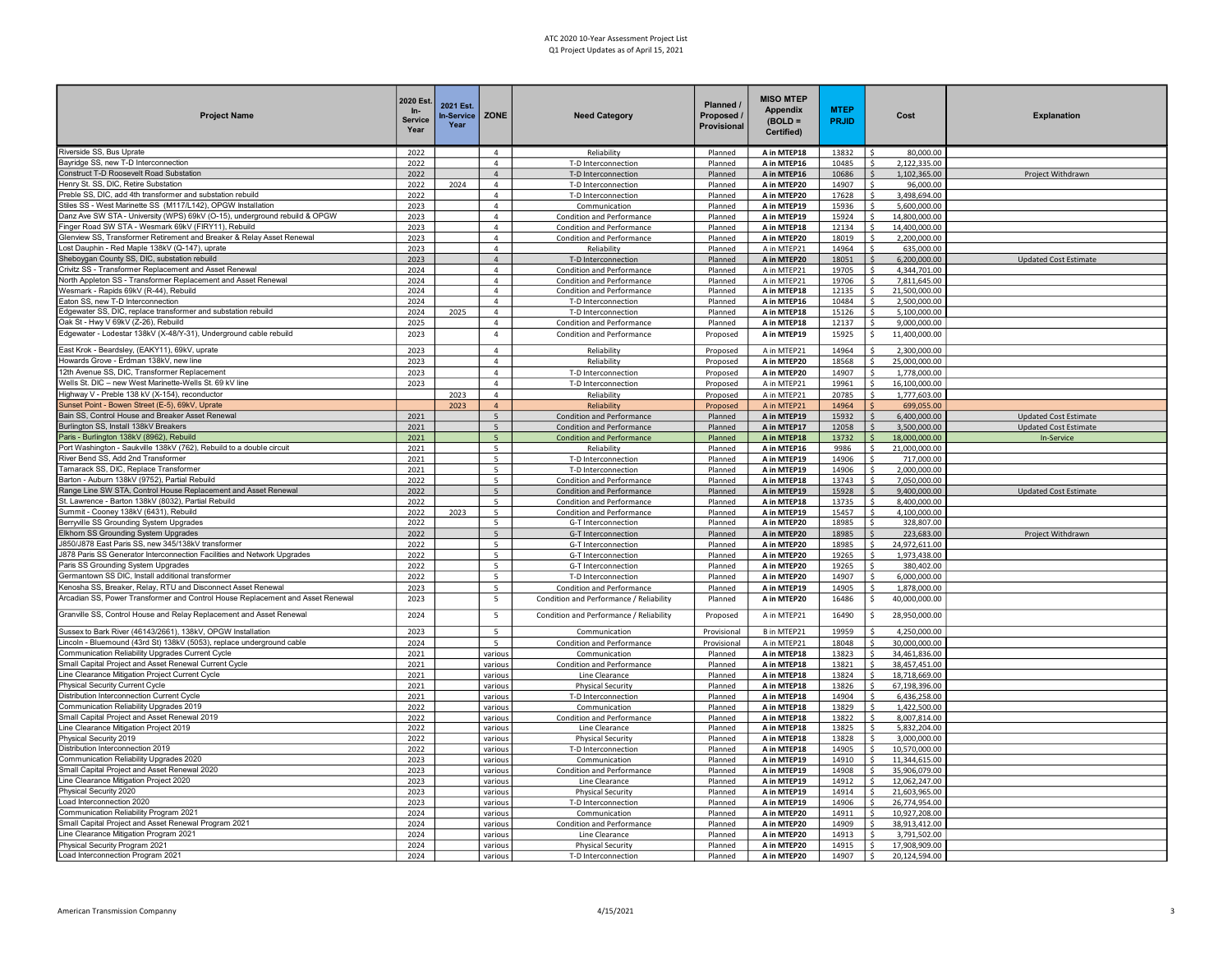| <b>Project Name</b>                                                                                        | 2020 Est.<br>$In-$<br><b>Service</b><br>Year | 2021 Est.<br>n-Service<br>Year | ZONE                             | <b>Need Category</b>                            | Planned /<br>Proposed /<br>Provisional | <b>MISO MTEP</b><br>Appendix<br>$(BOLD =$<br>Certified) | <b>MTEP</b><br><b>PRJID</b> | Cost                                           | <b>Explanation</b>           |
|------------------------------------------------------------------------------------------------------------|----------------------------------------------|--------------------------------|----------------------------------|-------------------------------------------------|----------------------------------------|---------------------------------------------------------|-----------------------------|------------------------------------------------|------------------------------|
| Riverside SS, Bus Uprate                                                                                   | 2022                                         |                                | $\overline{4}$                   | Reliability                                     | Planned                                | A in MTEP18                                             | 13832                       | 80,000.00                                      |                              |
| Bayridge SS, new T-D Interconnection                                                                       | 2022                                         |                                | $\overline{4}$                   | T-D Interconnection                             | Planned                                | A in MTEP16                                             | 10485                       | 2.122.335.00<br>Š.                             |                              |
| Construct T-D Roosevelt Road Substation                                                                    | 2022                                         |                                | $\overline{4}$                   | T-D Interconnection                             | Planned                                | A in MTEP16                                             | 10686                       | 1,102,365.00<br>$\mathsf{S}$                   | Project Withdrawn            |
| Henry St. SS, DIC, Retire Substation<br>Preble SS, DIC, add 4th transformer and substation rebuild         | 2022                                         | 2024                           | $\overline{4}$                   | T-D Interconnection                             | Planned                                | A in MTEP20                                             | 14907                       | 96,000.00                                      |                              |
| Stiles SS - West Marinette SS (M117/L142), OPGW Installation                                               | 2022<br>2023                                 |                                | $\overline{4}$<br>$\overline{4}$ | T-D Interconnection<br>Communication            | Planned<br>Planned                     | A in MTEP20<br>A in MTEP19                              | 17628<br>15936              | \$<br>3,498,694.00<br>5,600,000.00<br>\$       |                              |
| Danz Ave SW STA - University (WPS) 69kV (O-15), underground rebuild & OPGW                                 | 2023                                         |                                | $\overline{4}$                   | Condition and Performance                       | Planned                                | A in MTEP19                                             | 15924                       | \$<br>14,800,000.00                            |                              |
| Finger Road SW STA - Wesmark 69kV (FIRY11), Rebuild                                                        | 2023                                         |                                | $\overline{4}$                   | Condition and Performance                       | Planned                                | A in MTEP18                                             | 12134                       | 14,400,000.00                                  |                              |
| Glenview SS, Transformer Retirement and Breaker & Relay Asset Renewal                                      | 2023                                         |                                | $\Delta$                         | Condition and Performance                       | Planned                                | A in MTEP20                                             | 18019                       | 2,200,000.00                                   |                              |
| Lost Dauphin - Red Maple 138kV (Q-147), uprate                                                             | 2023                                         |                                | $\overline{a}$                   | Reliability                                     | Planned                                | A in MTEP21                                             | 14964                       | 635,000.00                                     |                              |
| Sheboygan County SS, DIC, substation rebuild                                                               | 2023                                         |                                | $\overline{4}$                   | T-D Interconnection                             | Planned                                | A in MTEP20                                             | 18051                       | 6,200,000.00                                   | <b>Updated Cost Estimate</b> |
| Crivitz SS - Transformer Replacement and Asset Renewal                                                     | 2024                                         |                                | $\Delta$                         | Condition and Performance                       | Planned                                | A in MTEP21                                             | 19705                       | 4,344,701.00                                   |                              |
| North Appleton SS - Transformer Replacement and Asset Renewal                                              | 2024                                         |                                | $\Delta$                         | <b>Condition and Performance</b>                | Planned                                | A in MTEP21                                             | 19706                       | 7,811,645.00                                   |                              |
| Wesmark - Rapids 69kV (R-44), Rebuild                                                                      | 2024                                         |                                | $\Delta$                         | Condition and Performance                       | Planned                                | A in MTEP18                                             | 12135                       | 21,500,000.00                                  |                              |
| Eaton SS, new T-D Interconnection                                                                          | 2024                                         |                                | $\overline{4}$                   | T-D Interconnection                             | Planned                                | A in MTEP16                                             | 10484                       | $\mathsf{s}$<br>2,500,000.00                   |                              |
| Edgewater SS, DIC, replace transformer and substation rebuild                                              | 2024                                         | 2025                           | $\overline{4}$                   | T-D Interconnection                             | Planned                                | A in MTEP18                                             | 15126                       | \$<br>5,100,000.00                             |                              |
| Oak St - Hwy V 69kV (Z-26), Rebuild                                                                        | 2025                                         |                                | $\overline{4}$                   | Condition and Performance                       | Planned                                | A in MTEP18                                             | 12137                       | Š.<br>9,000,000.00                             |                              |
| Edgewater - Lodestar 138kV (X-48/Y-31), Underground cable rebuild                                          | 2023                                         |                                | $\overline{4}$                   | Condition and Performance                       | Proposed                               | A in MTEP19                                             | 15925                       | \$<br>11,400,000.00                            |                              |
| East Krok - Beardsley, (EAKY11), 69kV, uprate                                                              | 2023                                         |                                | $\overline{4}$                   | Reliability                                     | Proposed                               | A in MTEP21                                             | 14964                       | 2,300,000.00<br>\$                             |                              |
| Howards Grove - Erdman 138kV, new line                                                                     | 2023                                         |                                | $\overline{4}$                   | Reliability                                     | Proposed                               | A in MTEP20                                             | 18568                       | \$<br>25,000,000.00                            |                              |
| 12th Avenue SS, DIC, Transformer Replacement                                                               | 2023                                         |                                | $\overline{a}$                   | T-D Interconnection                             | Proposed                               | A in MTEP20                                             | 14907                       | Š.<br>1,778,000.00                             |                              |
| Wells St. DIC - new West Marinette-Wells St. 69 kV line                                                    | 2023                                         |                                | $\overline{4}$                   | T-D Interconnection                             | Proposed                               | A in MTEP21                                             | 19961                       | 16,100,000.00                                  |                              |
| Highway V - Preble 138 kV (X-154), reconductor                                                             |                                              | 2023                           | $\overline{4}$                   | Reliability                                     | Proposed                               | A in MTEP21                                             | 20785                       | 1,777,603.00                                   |                              |
| Sunset Point - Bowen Street (E-5), 69kV, Uprate                                                            |                                              | 2023                           | $\overline{4}$                   | Reliability                                     | Proposed                               | A in MTEP21                                             | 14964                       | 699,055.00                                     |                              |
| Bain SS, Control House and Breaker Asset Renewal                                                           | 2021                                         |                                | 5 <sup>5</sup>                   | Condition and Performance                       | Planned                                | A in MTEP19                                             | 15932                       | 6,400,000.00                                   | <b>Updated Cost Estimate</b> |
| Burlington SS, Install 138kV Breakers                                                                      | 2021                                         |                                | 5 <sup>5</sup>                   | Condition and Performance                       | Planned                                | A in MTEP17                                             | 12058                       | 3,500,000.00                                   | <b>Updated Cost Estimate</b> |
| Paris - Burlington 138kV (8962), Rebuild                                                                   | 2021                                         |                                | 5 <sup>1</sup>                   | <b>Condition and Performance</b>                | Planned                                | A in MTEP18                                             | 13732                       | 18,000,000.00                                  | In-Service                   |
| Port Washington - Saukville 138kV (762), Rebuild to a double circuit<br>River Bend SS, Add 2nd Transformer | 2021                                         |                                | 5<br>5                           | Reliability                                     | Planned                                | A in MTEP16                                             | 9986                        | Ś.<br>21,000,000.00                            |                              |
| Tamarack SS, DIC, Replace Transformer                                                                      | 2021<br>2021                                 |                                | 5                                | T-D Interconnection<br>T-D Interconnection      | Planned<br>Planned                     | A in MTEP19<br>A in MTEP19                              | 14906<br>14906              | 717,000.00<br>2,000,000.00<br>\$               |                              |
| Barton - Auburn 138kV (9752), Partial Rebuild                                                              | 2022                                         |                                | 5                                | Condition and Performance                       | Planned                                | A in MTEP18                                             | 13743                       | \$<br>7,050,000.00                             |                              |
| Range Line SW STA, Control House Replacement and Asset Renewal                                             | 2022                                         |                                | 5                                | Condition and Performance                       | Planned                                | A in MTEP19                                             | 15928                       | \$<br>9,400,000.00                             | <b>Updated Cost Estimate</b> |
| St. Lawrence - Barton 138kV (8032), Partial Rebuild                                                        | 2022                                         |                                | 5                                | <b>Condition and Performance</b>                | Planned                                | A in MTEP18                                             | 13735                       | \$<br>8,400,000.00                             |                              |
| Summit - Cooney 138kV (6431), Rebuild                                                                      | 2022                                         | 2023                           | 5                                | Condition and Performance                       | Planned                                | A in MTEP19                                             | 15457                       | Ś.<br>4,100,000.00                             |                              |
| Berryville SS Grounding System Upgrades                                                                    | 2022                                         |                                | 5                                | G-T Interconnection                             | Planned                                | A in MTEP20                                             | 18985                       | Ŝ.<br>328,807.00                               |                              |
| Elkhorn SS Grounding System Upgrades                                                                       | 2022                                         |                                | $\overline{5}$                   | G-T Interconnection                             | Planned                                | A in MTEP20                                             | 18985                       | \$<br>223,683.00                               | Project Withdrawn            |
| J850/J878 East Paris SS, new 345/138kV transformer                                                         | 2022                                         |                                | 5                                | G-T Interconnection                             | Planned                                | A in MTEP20                                             | 18985                       | \$<br>24,972,611.00                            |                              |
| J878 Paris SS Generator Interconnection Facilities and Network Upgrades                                    | 2022                                         |                                | 5 <sup>1</sup>                   | G-T Interconnection                             | Planned                                | A in MTEP20                                             | 19265                       | Š.<br>1,973,438.00                             |                              |
| Paris SS Grounding System Upgrades                                                                         | 2022                                         |                                | 5                                | G-T Interconnection                             | Planned                                | A in MTEP20                                             | 19265                       | Ś.<br>380,402.00                               |                              |
| Germantown SS DIC, Install additional transformer                                                          | 2022                                         |                                | 5                                | T-D Interconnection                             | Planned                                | A in MTEP20                                             | 14907                       | Ś<br>6,000,000.00                              |                              |
| Kenosha SS, Breaker, Relay, RTU and Disconnect Asset Renewal                                               | 2023                                         |                                | 5                                | Condition and Performance                       | Planned                                | A in MTEP19                                             | 14905                       | Ś.<br>1,878,000.00                             |                              |
| Arcadian SS, Power Transformer and Control House Replacement and Asset Renewal                             | 2023                                         |                                | 5                                | Condition and Performance / Reliability         | Planned                                | A in MTEP20                                             | 16486                       | \$<br>40,000,000.00                            |                              |
| Granville SS, Control House and Relay Replacement and Asset Renewal                                        | 2024                                         |                                | 5                                | Condition and Performance / Reliability         | Proposed                               | A in MTEP21                                             | 16490                       | \$<br>28,950,000.00                            |                              |
| Sussex to Bark River (46143/2661), 138kV, OPGW Installation                                                | 2023                                         |                                | 5                                | Communication                                   | Provisional                            | B in MTEP21                                             | 19959                       | 4,250,000.00                                   |                              |
| Lincoln - Bluemound (43rd St) 138kV (5053), replace underground cable                                      | 2024                                         |                                | $\overline{\phantom{a}}$         | Condition and Performance                       | Provisional                            | A in MTEP21                                             | 18048                       | 30,000,000.00                                  |                              |
| Communication Reliability Upgrades Current Cycle                                                           | 2021                                         |                                | various                          | Communication                                   | Planned                                | A in MTEP18                                             | 13823                       | 34,461,836.00                                  |                              |
| Small Capital Project and Asset Renewal Current Cycle                                                      | 2021                                         |                                | various                          | Condition and Performance                       | Planned                                | A in MTEP18                                             | 13821                       | 38,457,451.00                                  |                              |
| Line Clearance Mitigation Project Current Cycle                                                            | 2021                                         |                                | various                          | Line Clearance                                  | Planned                                | A in MTEP18                                             | 13824                       | 18,718,669.00                                  |                              |
| Physical Security Current Cycle<br>Distribution Interconnection Current Cycle                              | 2021<br>2021                                 |                                | various                          | <b>Physical Security</b><br>T-D Interconnection | Planned<br>Planned                     | A in MTEP18<br>A in MTEP18                              | 13826<br>14904              | 67,198,396.00<br>Š.<br>6,436,258.00            |                              |
| Communication Reliability Upgrades 2019                                                                    | 2022                                         |                                | various<br>various               | Communication                                   | Planned                                | A in MTEP18                                             | 13829                       | 1,422,500.00                                   |                              |
| Small Capital Project and Asset Renewal 2019                                                               | 2022                                         |                                | various                          | Condition and Performance                       | Planned                                | A in MTEP18                                             | 13822                       | 8,007,814.00                                   |                              |
| Line Clearance Mitigation Project 2019                                                                     | 2022                                         |                                | various                          | Line Clearance                                  | Planned                                | A in MTEP18                                             | 13825                       | Š.<br>5,832,204.00                             |                              |
| Physical Security 2019                                                                                     | 2022                                         |                                | various                          | <b>Physical Security</b>                        | Planned                                | A in MTEP18                                             | 13828                       | Ś.<br>3,000,000.00                             |                              |
| Distribution Interconnection 2019                                                                          | 2022                                         |                                | various                          | T-D Interconnection                             | Planned                                | A in MTEP18                                             | 14905                       | 10,570,000.00<br>\$                            |                              |
| Communication Reliability Upgrades 2020                                                                    | 2023                                         |                                | various                          | Communication                                   | Planned                                | A in MTEP19                                             | 14910                       | 11,344,615.00<br>s                             |                              |
| Small Capital Project and Asset Renewal 2020                                                               | 2023                                         |                                | various                          | Condition and Performance                       | Planned                                | A in MTEP19                                             | 14908                       | \$<br>35,906,079.00                            |                              |
| Line Clearance Mitigation Project 2020                                                                     | 2023                                         |                                | various                          | Line Clearance                                  | Planned                                | A in MTEP19                                             | 14912                       | \$<br>12,062,247.00                            |                              |
| Physical Security 2020                                                                                     | 2023                                         |                                | various                          | <b>Physical Security</b>                        | Planned                                | A in MTEP19                                             | 14914                       | \$<br>21,603,965.00                            |                              |
| Load Interconnection 2020                                                                                  | 2023                                         |                                | various                          | T-D Interconnection                             | Planned                                | A in MTEP19                                             | 14906                       | 26,774,954.00                                  |                              |
| Communication Reliability Program 2021                                                                     | 2024                                         |                                | various                          | Communication                                   | Planned                                | A in MTEP20                                             | 14911                       | 10,927,208.00                                  |                              |
| Small Capital Project and Asset Renewal Program 2021<br>Line Clearance Mitigation Program 2021             | 2024                                         |                                | various                          | Condition and Performance                       | Planned                                | A in MTEP20                                             | 14909<br>14913              | Ś.<br>38,913,412.00<br>¢.                      |                              |
| Physical Security Program 2021                                                                             | 2024<br>2024                                 |                                | various                          | Line Clearance                                  | Planned<br>Planned                     | A in MTEP20                                             | 14915                       | 3,791,502.00<br>17,908,909.00<br><sup>\$</sup> |                              |
| Load Interconnection Program 2021                                                                          | 2024                                         |                                | various                          | <b>Physical Security</b>                        |                                        | A in MTEP20                                             | 14907                       | $\mathsf{s}$<br>20,124,594.00                  |                              |
|                                                                                                            |                                              |                                | various                          | T-D Interconnection                             | Planned                                | A in MTEP20                                             |                             |                                                |                              |